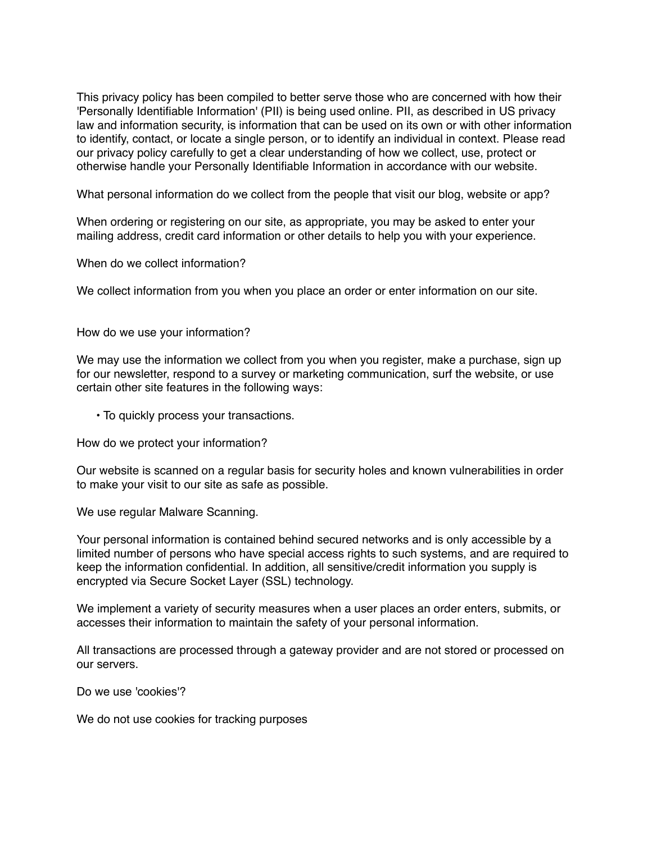This privacy policy has been compiled to better serve those who are concerned with how their 'Personally Identifiable Information' (PII) is being used online. PII, as described in US privacy law and information security, is information that can be used on its own or with other information to identify, contact, or locate a single person, or to identify an individual in context. Please read our privacy policy carefully to get a clear understanding of how we collect, use, protect or otherwise handle your Personally Identifiable Information in accordance with our website.

What personal information do we collect from the people that visit our blog, website or app?

When ordering or registering on our site, as appropriate, you may be asked to enter your mailing address, credit card information or other details to help you with your experience.

When do we collect information?

We collect information from you when you place an order or enter information on our site.

How do we use your information?

We may use the information we collect from you when you register, make a purchase, sign up for our newsletter, respond to a survey or marketing communication, surf the website, or use certain other site features in the following ways:

• To quickly process your transactions.

How do we protect your information?

Our website is scanned on a regular basis for security holes and known vulnerabilities in order to make your visit to our site as safe as possible.

We use regular Malware Scanning.

Your personal information is contained behind secured networks and is only accessible by a limited number of persons who have special access rights to such systems, and are required to keep the information confidential. In addition, all sensitive/credit information you supply is encrypted via Secure Socket Layer (SSL) technology.

We implement a variety of security measures when a user places an order enters, submits, or accesses their information to maintain the safety of your personal information.

All transactions are processed through a gateway provider and are not stored or processed on our servers.

Do we use 'cookies'?

We do not use cookies for tracking purposes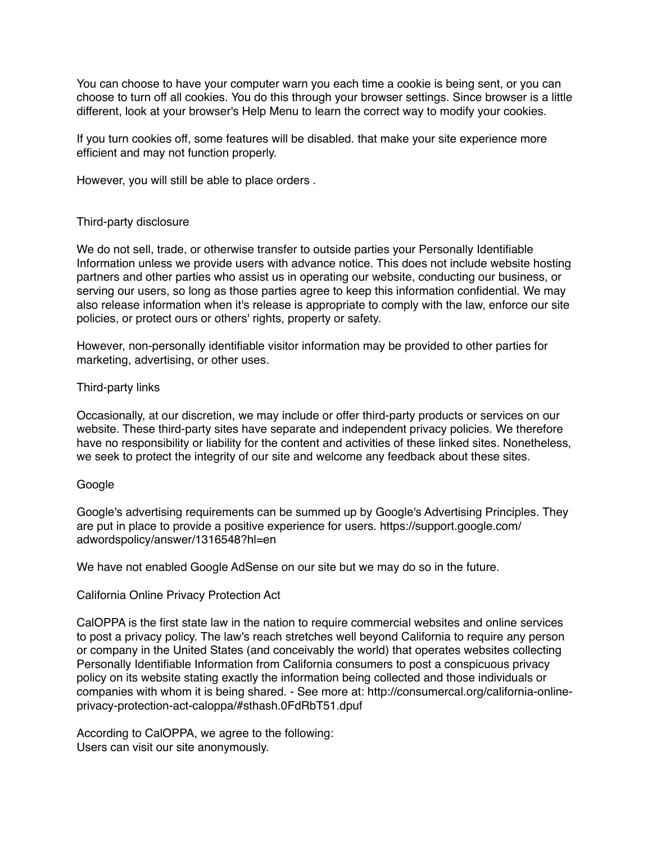You can choose to have your computer warn you each time a cookie is being sent, or you can choose to turn off all cookies. You do this through your browser settings. Since browser is a little different, look at your browser's Help Menu to learn the correct way to modify your cookies.

If you turn cookies off, some features will be disabled. that make your site experience more efficient and may not function properly.

However, you will still be able to place orders .

## Third-party disclosure

We do not sell, trade, or otherwise transfer to outside parties your Personally Identifiable Information unless we provide users with advance notice. This does not include website hosting partners and other parties who assist us in operating our website, conducting our business, or serving our users, so long as those parties agree to keep this information confidential. We may also release information when it's release is appropriate to comply with the law, enforce our site policies, or protect ours or others' rights, property or safety.

However, non-personally identifiable visitor information may be provided to other parties for marketing, advertising, or other uses.

## Third-party links

Occasionally, at our discretion, we may include or offer third-party products or services on our website. These third-party sites have separate and independent privacy policies. We therefore have no responsibility or liability for the content and activities of these linked sites. Nonetheless, we seek to protect the integrity of our site and welcome any feedback about these sites.

## Google

Google's advertising requirements can be summed up by Google's Advertising Principles. They are put in place to provide a positive experience for users. https://support.google.com/ adwordspolicy/answer/1316548?hl=en

We have not enabled Google AdSense on our site but we may do so in the future.

## California Online Privacy Protection Act

CalOPPA is the first state law in the nation to require commercial websites and online services to post a privacy policy. The law's reach stretches well beyond California to require any person or company in the United States (and conceivably the world) that operates websites collecting Personally Identifiable Information from California consumers to post a conspicuous privacy policy on its website stating exactly the information being collected and those individuals or companies with whom it is being shared. - See more at: http://consumercal.org/california-onlineprivacy-protection-act-caloppa/#sthash.0FdRbT51.dpuf

According to CalOPPA, we agree to the following: Users can visit our site anonymously.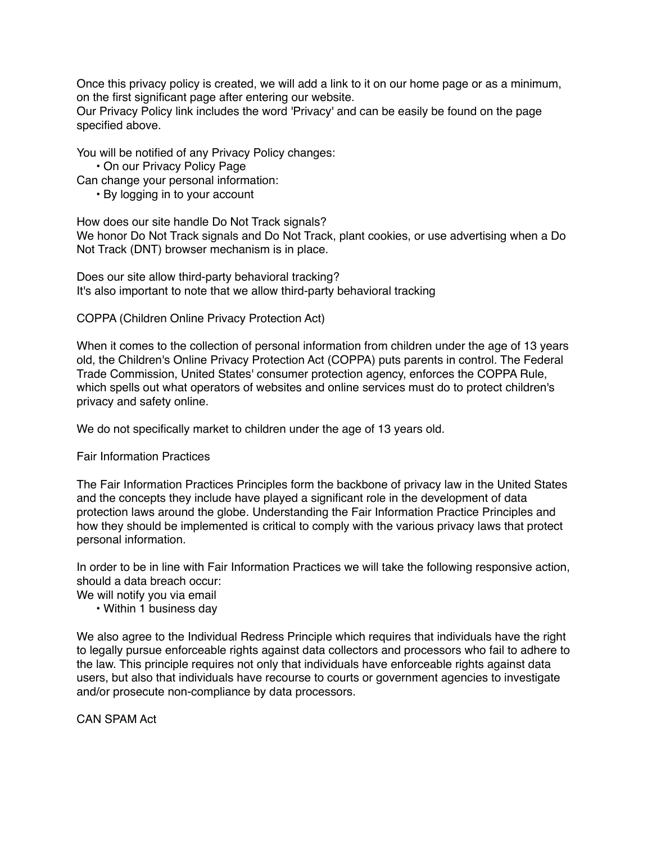Once this privacy policy is created, we will add a link to it on our home page or as a minimum, on the first significant page after entering our website.

Our Privacy Policy link includes the word 'Privacy' and can be easily be found on the page specified above.

You will be notified of any Privacy Policy changes:

• On our Privacy Policy Page

Can change your personal information:

• By logging in to your account

How does our site handle Do Not Track signals? We honor Do Not Track signals and Do Not Track, plant cookies, or use advertising when a Do Not Track (DNT) browser mechanism is in place.

Does our site allow third-party behavioral tracking? It's also important to note that we allow third-party behavioral tracking

COPPA (Children Online Privacy Protection Act)

When it comes to the collection of personal information from children under the age of 13 years old, the Children's Online Privacy Protection Act (COPPA) puts parents in control. The Federal Trade Commission, United States' consumer protection agency, enforces the COPPA Rule, which spells out what operators of websites and online services must do to protect children's privacy and safety online.

We do not specifically market to children under the age of 13 years old.

Fair Information Practices

The Fair Information Practices Principles form the backbone of privacy law in the United States and the concepts they include have played a significant role in the development of data protection laws around the globe. Understanding the Fair Information Practice Principles and how they should be implemented is critical to comply with the various privacy laws that protect personal information.

In order to be in line with Fair Information Practices we will take the following responsive action, should a data breach occur:

We will notify you via email

• Within 1 business day

We also agree to the Individual Redress Principle which requires that individuals have the right to legally pursue enforceable rights against data collectors and processors who fail to adhere to the law. This principle requires not only that individuals have enforceable rights against data users, but also that individuals have recourse to courts or government agencies to investigate and/or prosecute non-compliance by data processors.

CAN SPAM Act